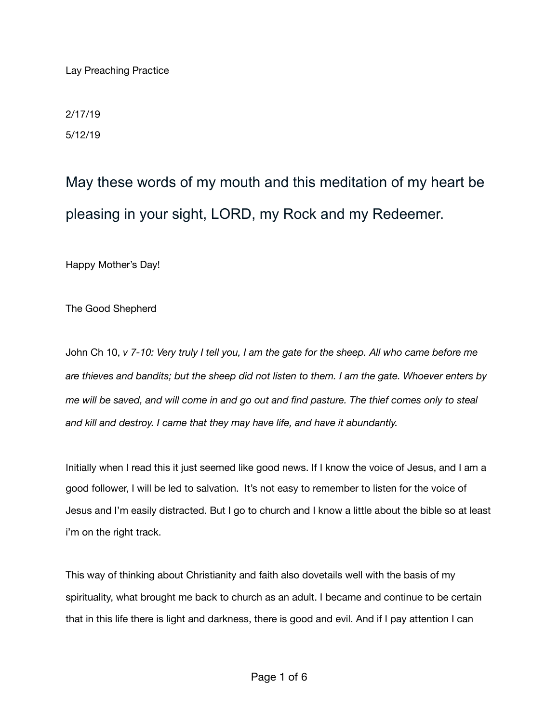Lay Preaching Practice

2/17/19 5/12/19

May these words of my mouth and this meditation of my heart be pleasing in your sight, LORD, my Rock and my Redeemer.

Happy Mother's Day!

The Good Shepherd

John Ch 10, *v 7-10: Very truly I tell you, I am the gate for the sheep. All who came before me are thieves and bandits; but the sheep did not listen to them. I am the gate. Whoever enters by me will be saved, and will come in and go out and find pasture. The thief comes only to steal and kill and destroy. I came that they may have life, and have it abundantly.* 

Initially when I read this it just seemed like good news. If I know the voice of Jesus, and I am a good follower, I will be led to salvation. It's not easy to remember to listen for the voice of Jesus and I'm easily distracted. But I go to church and I know a little about the bible so at least i'm on the right track.

This way of thinking about Christianity and faith also dovetails well with the basis of my spirituality, what brought me back to church as an adult. I became and continue to be certain that in this life there is light and darkness, there is good and evil. And if I pay attention I can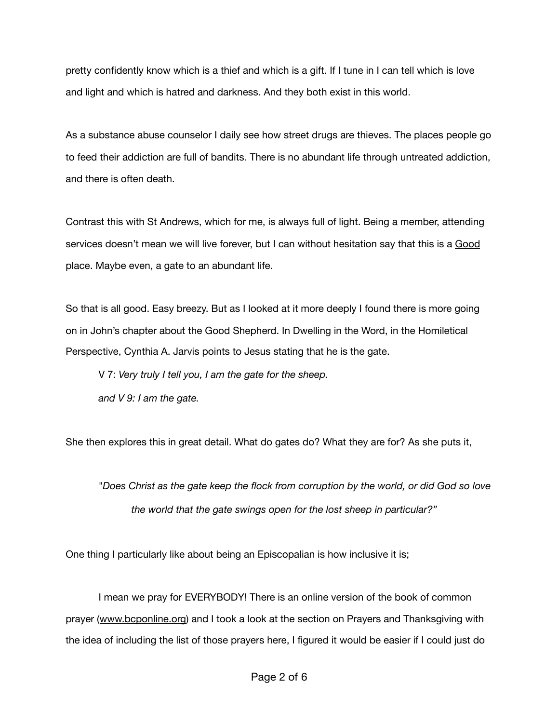pretty confidently know which is a thief and which is a gift. If I tune in I can tell which is love and light and which is hatred and darkness. And they both exist in this world.

As a substance abuse counselor I daily see how street drugs are thieves. The places people go to feed their addiction are full of bandits. There is no abundant life through untreated addiction, and there is often death.

Contrast this with St Andrews, which for me, is always full of light. Being a member, attending services doesn't mean we will live forever, but I can without hesitation say that this is a Good place. Maybe even, a gate to an abundant life.

So that is all good. Easy breezy. But as I looked at it more deeply I found there is more going on in John's chapter about the Good Shepherd. In Dwelling in the Word, in the Homiletical Perspective, Cynthia A. Jarvis points to Jesus stating that he is the gate.

V 7: *Very truly I tell you, I am the gate for the sheep.* 

*and V 9: I am the gate.*

She then explores this in great detail. What do gates do? What they are for? As she puts it,

"*Does Christ as the gate keep the flock from corruption by the world, or did God so love the world that the gate swings open for the lost sheep in particular?"* 

One thing I particularly like about being an Episcopalian is how inclusive it is;

I mean we pray for EVERYBODY! There is an online version of the book of common prayer [\(www.bcponline.org\)](http://www.bcponline.org) and I took a look at the section on Prayers and Thanksgiving with the idea of including the list of those prayers here, I figured it would be easier if I could just do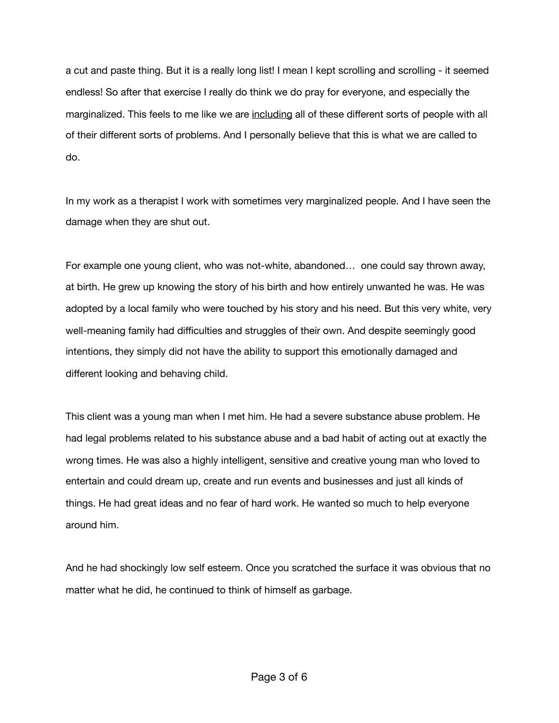a cut and paste thing. But it is a really long list! I mean I kept scrolling and scrolling - it seemed endless! So after that exercise I really do think we do pray for everyone, and especially the marginalized. This feels to me like we are including all of these different sorts of people with all of their different sorts of problems. And I personally believe that this is what we are called to do.

In my work as a therapist I work with sometimes very marginalized people. And I have seen the damage when they are shut out.

For example one young client, who was not-white, abandoned… one could say thrown away, at birth. He grew up knowing the story of his birth and how entirely unwanted he was. He was adopted by a local family who were touched by his story and his need. But this very white, very well-meaning family had difficulties and struggles of their own. And despite seemingly good intentions, they simply did not have the ability to support this emotionally damaged and different looking and behaving child.

This client was a young man when I met him. He had a severe substance abuse problem. He had legal problems related to his substance abuse and a bad habit of acting out at exactly the wrong times. He was also a highly intelligent, sensitive and creative young man who loved to entertain and could dream up, create and run events and businesses and just all kinds of things. He had great ideas and no fear of hard work. He wanted so much to help everyone around him.

And he had shockingly low self esteem. Once you scratched the surface it was obvious that no matter what he did, he continued to think of himself as garbage.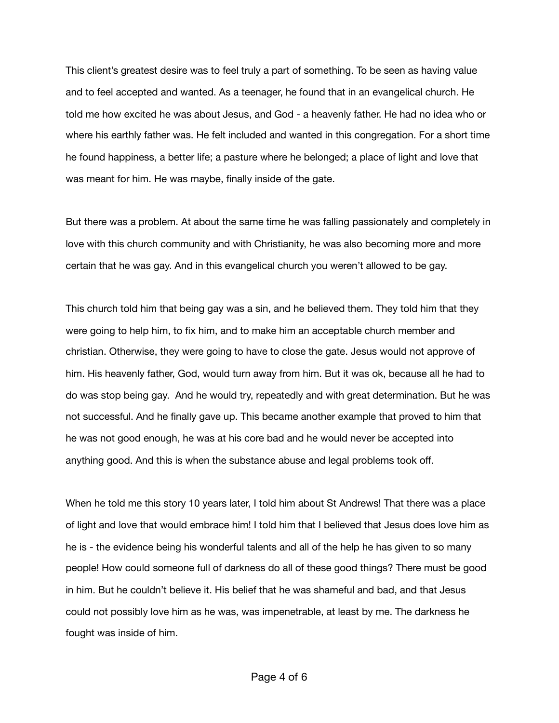This client's greatest desire was to feel truly a part of something. To be seen as having value and to feel accepted and wanted. As a teenager, he found that in an evangelical church. He told me how excited he was about Jesus, and God - a heavenly father. He had no idea who or where his earthly father was. He felt included and wanted in this congregation. For a short time he found happiness, a better life; a pasture where he belonged; a place of light and love that was meant for him. He was maybe, finally inside of the gate.

But there was a problem. At about the same time he was falling passionately and completely in love with this church community and with Christianity, he was also becoming more and more certain that he was gay. And in this evangelical church you weren't allowed to be gay.

This church told him that being gay was a sin, and he believed them. They told him that they were going to help him, to fix him, and to make him an acceptable church member and christian. Otherwise, they were going to have to close the gate. Jesus would not approve of him. His heavenly father, God, would turn away from him. But it was ok, because all he had to do was stop being gay. And he would try, repeatedly and with great determination. But he was not successful. And he finally gave up. This became another example that proved to him that he was not good enough, he was at his core bad and he would never be accepted into anything good. And this is when the substance abuse and legal problems took off.

When he told me this story 10 years later, I told him about St Andrews! That there was a place of light and love that would embrace him! I told him that I believed that Jesus does love him as he is - the evidence being his wonderful talents and all of the help he has given to so many people! How could someone full of darkness do all of these good things? There must be good in him. But he couldn't believe it. His belief that he was shameful and bad, and that Jesus could not possibly love him as he was, was impenetrable, at least by me. The darkness he fought was inside of him.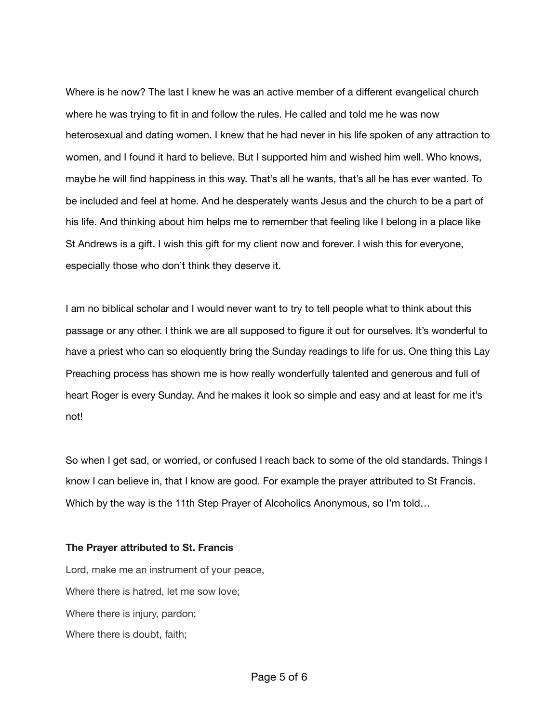Where is he now? The last I knew he was an active member of a different evangelical church where he was trying to fit in and follow the rules. He called and told me he was now heterosexual and dating women. I knew that he had never in his life spoken of any attraction to women, and I found it hard to believe. But I supported him and wished him well. Who knows, maybe he will find happiness in this way. That's all he wants, that's all he has ever wanted. To be included and feel at home. And he desperately wants Jesus and the church to be a part of his life. And thinking about him helps me to remember that feeling like I belong in a place like St Andrews is a gift. I wish this gift for my client now and forever. I wish this for everyone, especially those who don't think they deserve it.

I am no biblical scholar and I would never want to try to tell people what to think about this passage or any other. I think we are all supposed to figure it out for ourselves. It's wonderful to have a priest who can so eloquently bring the Sunday readings to life for us. One thing this Lay Preaching process has shown me is how really wonderfully talented and generous and full of heart Roger is every Sunday. And he makes it look so simple and easy and at least for me it's not!

So when I get sad, or worried, or confused I reach back to some of the old standards. Things I know I can believe in, that I know are good. For example the prayer attributed to St Francis. Which by the way is the 11th Step Prayer of Alcoholics Anonymous, so I'm told…

## **The Prayer attributed to St. Francis**

Lord, make me an instrument of your peace, Where there is hatred, let me sow love; Where there is injury, pardon; Where there is doubt, faith;